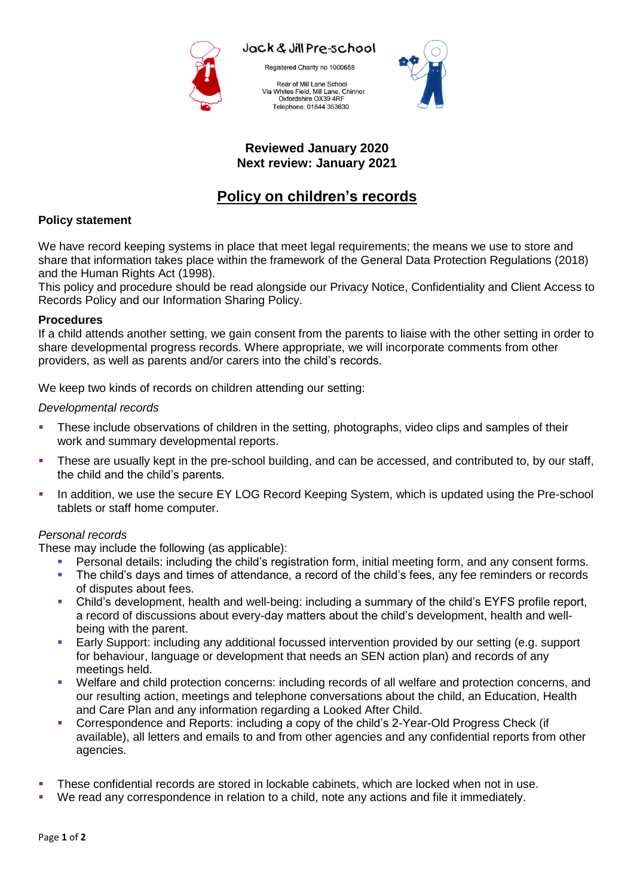

Jack & Jill Pre-school

Registered Charity no 1000658

Rear of Mill Lane School Via Whites Field, Mill Lane, Chinnor<br>Oxfordshire OX39 4RF Telephone: 01844 353630



#### **Reviewed January 2020 Next review: January 2021**

# **Policy on children's records**

# **Policy statement**

We have record keeping systems in place that meet legal requirements; the means we use to store and share that information takes place within the framework of the General Data Protection Regulations (2018) and the Human Rights Act (1998).

This policy and procedure should be read alongside our Privacy Notice, Confidentiality and Client Access to Records Policy and our Information Sharing Policy.

# **Procedures**

If a child attends another setting, we gain consent from the parents to liaise with the other setting in order to share developmental progress records. Where appropriate, we will incorporate comments from other providers, as well as parents and/or carers into the child's records.

We keep two kinds of records on children attending our setting:

## *Developmental records*

- These include observations of children in the setting, photographs, video clips and samples of their work and summary developmental reports.
- These are usually kept in the pre-school building, and can be accessed, and contributed to, by our staff, the child and the child's parents.
- In addition, we use the secure EY LOG Record Keeping System, which is updated using the Pre-school tablets or staff home computer.

# *Personal records*

These may include the following (as applicable):

- Personal details: including the child's registration form, initial meeting form, and any consent forms.
- The child's days and times of attendance, a record of the child's fees, any fee reminders or records of disputes about fees.
- Child's development, health and well-being: including a summary of the child's EYFS profile report, a record of discussions about every-day matters about the child's development, health and wellbeing with the parent.
- Early Support: including any additional focussed intervention provided by our setting (e.g. support for behaviour, language or development that needs an SEN action plan) and records of any meetings held.
- Welfare and child protection concerns: including records of all welfare and protection concerns, and our resulting action, meetings and telephone conversations about the child, an Education, Health and Care Plan and any information regarding a Looked After Child.
- Correspondence and Reports: including a copy of the child's 2-Year-Old Progress Check (if available), all letters and emails to and from other agencies and any confidential reports from other agencies.
- These confidential records are stored in lockable cabinets, which are locked when not in use.
- We read any correspondence in relation to a child, note any actions and file it immediately.